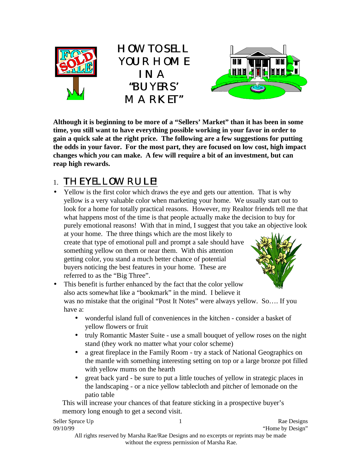





**Although it is beginning to be more of a "Sellers' Market" than it has been in some time, you still want to have everything possible working in your favor in order to gain a quick sale at the right price. The following are a few suggestions for putting the odds in your favor. For the most part, they are focused on low cost, high impact changes which** *you* **can make. A few will require a bit of an investment, but can reap high rewards.**

## 1. THE YELLOW RULE!

• Yellow is the first color which draws the eye and gets our attention. That is why yellow is a very valuable color when marketing your home. We usually start out to look for a home for totally practical reasons. However, my Realtor friends tell me that what happens most of the time is that people actually make the decision to buy for purely emotional reasons! With that in mind, I suggest that you take an objective look

at your home. The three things which are the most likely to create that type of emotional pull and prompt a sale should have something yellow on them or near them. With this attention getting color, you stand a much better chance of potential buyers noticing the best features in your home. These are referred to as the "Big Three".



• This benefit is further enhanced by the fact that the color yellow also acts somewhat like a "bookmark" in the mind. I believe it was no mistake that the original "Post It Notes" were always yellow. So.... If you have a:

- wonderful island full of conveniences in the kitchen consider a basket of yellow flowers or fruit
- truly Romantic Master Suite use a small bouquet of yellow roses on the night stand (they work no matter what your color scheme)
- a great fireplace in the Family Room try a stack of National Geographics on the mantle with something interesting setting on top or a large bronze pot filled with yellow mums on the hearth
- great back yard be sure to put a little touches of yellow in strategic places in the landscaping - or a nice yellow tablecloth and pitcher of lemonade on the patio table

 This will increase your chances of that feature sticking in a prospective buyer's memory long enough to get a second visit.

| Seller Spruce Up |                                                                                       | Rae Designs      |
|------------------|---------------------------------------------------------------------------------------|------------------|
| 09/10/99         |                                                                                       | "Home by Design" |
|                  | All rights reserved by Marsha Rae/Rae Designs and no excerpts or reprints may be made |                  |
|                  | without the express permission of Marsha Rae.                                         |                  |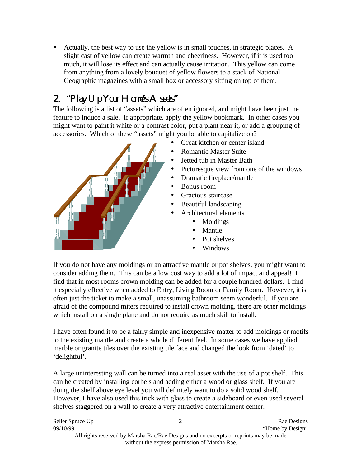• Actually, the best way to use the yellow is in small touches, in strategic places. A slight cast of yellow can create warmth and cheeriness. However, if it is used too much, it will lose its effect and can actually cause irritation. This yellow can come from anything from a lovely bouquet of yellow flowers to a stack of National Geographic magazines with a small box or accessory sitting on top of them.

## 2. "Play Up Your Home's Assets"

The following is a list of "assets" which are often ignored, and might have been just the feature to induce a sale. If appropriate, apply the yellow bookmark. In other cases you might want to paint it white or a contrast color, put a plant near it, or add a grouping of accessories. Which of these "assets" might you be able to capitalize on?



If you do not have any moldings or an attractive mantle or pot shelves, you might want to consider adding them. This can be a low cost way to add a lot of impact and appeal! I find that in most rooms crown molding can be added for a couple hundred dollars. I find it especially effective when added to Entry, Living Room or Family Room. However, it is often just the ticket to make a small, unassuming bathroom seem wonderful. If you are afraid of the compound miters required to install crown molding, there are other moldings which install on a single plane and do not require as much skill to install.

I have often found it to be a fairly simple and inexpensive matter to add moldings or motifs to the existing mantle and create a whole different feel. In some cases we have applied marble or granite tiles over the existing tile face and changed the look from 'dated' to 'delightful'.

A large uninteresting wall can be turned into a real asset with the use of a pot shelf. This can be created by installing corbels and adding either a wood or glass shelf. If you are doing the shelf above eye level you will definitely want to do a solid wood shelf. However, I have also used this trick with glass to create a sideboard or even used several shelves staggered on a wall to create a very attractive entertainment center.